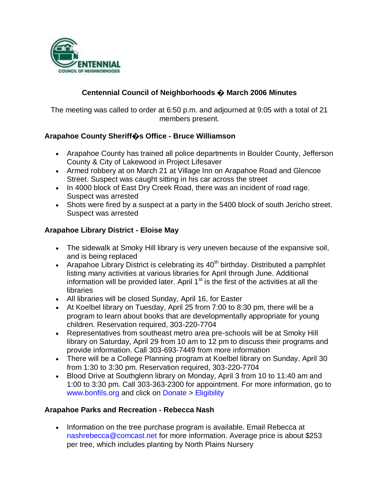

# **Centennial Council of Neighborhoods � March 2006 Minutes**

The meeting was called to order at 6:50 p.m. and adjourned at 9:05 with a total of 21 members present.

#### **Arapahoe County Sheriff�s Office - Bruce Williamson**

- Arapahoe County has trained all police departments in Boulder County, Jefferson County & City of Lakewood in Project Lifesaver
- Armed robbery at on March 21 at Village Inn on Arapahoe Road and Glencoe Street. Suspect was caught sitting in his car across the street
- In 4000 block of East Dry Creek Road, there was an incident of road rage. Suspect was arrested
- Shots were fired by a suspect at a party in the 5400 block of south Jericho street. Suspect was arrested

#### **Arapahoe Library District - Eloise May**

- The sidewalk at Smoky Hill library is very uneven because of the expansive soil, and is being replaced
- Arapahoe Library District is celebrating its  $40<sup>th</sup>$  birthday. Distributed a pamphlet listing many activities at various libraries for April through June. Additional information will be provided later. April  $1<sup>st</sup>$  is the first of the activities at all the **libraries**
- All libraries will be closed Sunday, April 16, for Easter
- At Koelbel library on Tuesday, April 25 from 7:00 to 8:30 pm, there will be a program to learn about books that are developmentally appropriate for young children. Reservation required, 303-220-7704
- Representatives from southeast metro area pre-schools will be at Smoky Hill library on Saturday, April 29 from 10 am to 12 pm to discuss their programs and provide information. Call 303-693-7449 from more information
- There will be a College Planning program at Koelbel library on Sunday, April 30 from 1:30 to 3:30 pm. Reservation required, 303-220-7704
- Blood Drive at Southglenn library on Monday, April 3 from 10 to 11:40 am and 1:00 to 3:30 pm. Call 303-363-2300 for appointment. For more information, go to www.bonfils.org and click on Donate > Eligibility

#### **Arapahoe Parks and Recreation - Rebecca Nash**

• Information on the tree purchase program is available. Email Rebecca at nashrebecca@comcast.net for more information. Average price is about \$253 per tree, which includes planting by North Plains Nursery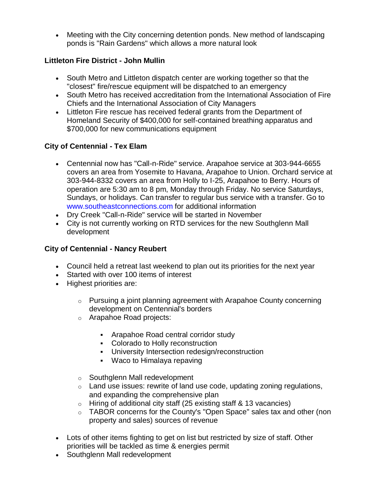Meeting with the City concerning detention ponds. New method of landscaping ponds is "Rain Gardens" which allows a more natural look

# **Littleton Fire District - John Mullin**

- South Metro and Littleton dispatch center are working together so that the "closest" fire/rescue equipment will be dispatched to an emergency
- South Metro has received accreditation from the International Association of Fire Chiefs and the International Association of City Managers
- Littleton Fire rescue has received federal grants from the Department of Homeland Security of \$400,000 for self-contained breathing apparatus and \$700,000 for new communications equipment

# **City of Centennial - Tex Elam**

- Centennial now has "Call-n-Ride" service. Arapahoe service at 303-944-6655 covers an area from Yosemite to Havana, Arapahoe to Union. Orchard service at 303-944-8332 covers an area from Holly to I-25, Arapahoe to Berry. Hours of operation are 5:30 am to 8 pm, Monday through Friday. No service Saturdays, Sundays, or holidays. Can transfer to regular bus service with a transfer. Go to www.southeastconnections.com for additional information
- Dry Creek "Call-n-Ride" service will be started in November
- City is not currently working on RTD services for the new Southglenn Mall development

### **City of Centennial - Nancy Reubert**

- Council held a retreat last weekend to plan out its priorities for the next year
- Started with over 100 items of interest
- Highest priorities are:
	- $\circ$  Pursuing a joint planning agreement with Arapahoe County concerning development on Centennial's borders
	- o Arapahoe Road projects:
		- Arapahoe Road central corridor study
		- Colorado to Holly reconstruction
		- **University Intersection redesign/reconstruction**
		- Waco to Himalaya repaving
	- o Southglenn Mall redevelopment
	- $\circ$  Land use issues: rewrite of land use code, updating zoning regulations, and expanding the comprehensive plan
	- o Hiring of additional city staff (25 existing staff & 13 vacancies)
	- o TABOR concerns for the County's "Open Space" sales tax and other (non property and sales) sources of revenue
- Lots of other items fighting to get on list but restricted by size of staff. Other priorities will be tackled as time & energies permit
- Southglenn Mall redevelopment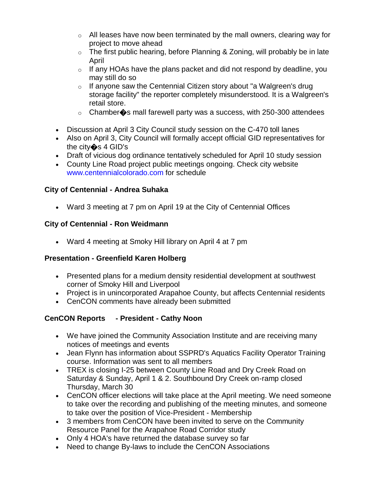- $\circ$  All leases have now been terminated by the mall owners, clearing way for project to move ahead
- $\circ$  The first public hearing, before Planning & Zoning, will probably be in late April
- $\circ$  If any HOAs have the plans packet and did not respond by deadline, you may still do so
- $\circ$  If anyone saw the Centennial Citizen story about "a Walgreen's drug storage facility" the reporter completely misunderstood. It is a Walgreen's retail store.
- $\circ$  Chamber $\diamondsuit$ s mall farewell party was a success, with 250-300 attendees
- Discussion at April 3 City Council study session on the C-470 toll lanes
- Also on April 3, City Council will formally accept official GID representatives for the city�s 4 GID's
- Draft of vicious dog ordinance tentatively scheduled for April 10 study session
- County Line Road project public meetings ongoing. Check city website www.centennialcolorado.com for schedule

# **City of Centennial - Andrea Suhaka**

Ward 3 meeting at 7 pm on April 19 at the City of Centennial Offices

# **City of Centennial - Ron Weidmann**

Ward 4 meeting at Smoky Hill library on April 4 at 7 pm

### **Presentation - Greenfield Karen Holberg**

- Presented plans for a medium density residential development at southwest corner of Smoky Hill and Liverpool
- Project is in unincorporated Arapahoe County, but affects Centennial residents
- CenCON comments have already been submitted

# **CenCON Reports - President - Cathy Noon**

- We have joined the Community Association Institute and are receiving many notices of meetings and events
- Jean Flynn has information about SSPRD's Aquatics Facility Operator Training course. Information was sent to all members
- TREX is closing I-25 between County Line Road and Dry Creek Road on Saturday & Sunday, April 1 & 2. Southbound Dry Creek on-ramp closed Thursday, March 30
- CenCON officer elections will take place at the April meeting. We need someone to take over the recording and publishing of the meeting minutes, and someone to take over the position of Vice-President - Membership
- 3 members from CenCON have been invited to serve on the Community Resource Panel for the Arapahoe Road Corridor study
- Only 4 HOA's have returned the database survey so far
- Need to change By-laws to include the CenCON Associations